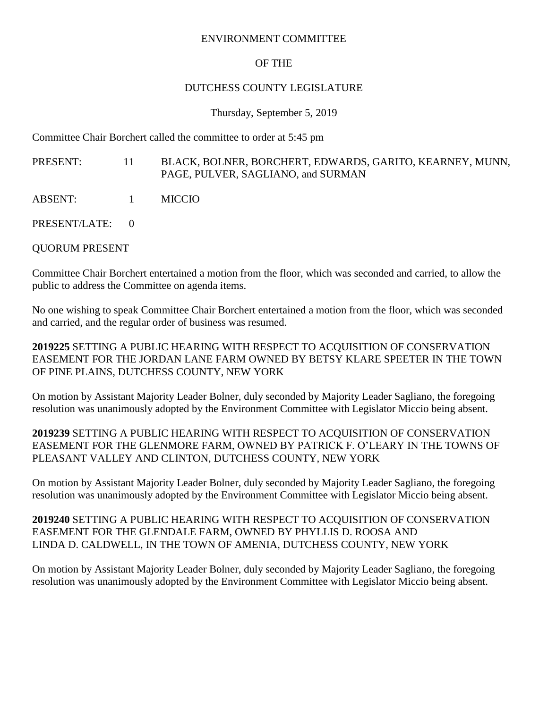## ENVIRONMENT COMMITTEE

## OF THE

## DUTCHESS COUNTY LEGISLATURE

Thursday, September 5, 2019

Committee Chair Borchert called the committee to order at 5:45 pm

PRESENT: 11 BLACK, BOLNER, BORCHERT, EDWARDS, GARITO, KEARNEY, MUNN, PAGE, PULVER, SAGLIANO, and SURMAN

- ABSENT: 1 MICCIO
- PRESENT/LATE: 0

QUORUM PRESENT

Committee Chair Borchert entertained a motion from the floor, which was seconded and carried, to allow the public to address the Committee on agenda items.

No one wishing to speak Committee Chair Borchert entertained a motion from the floor, which was seconded and carried, and the regular order of business was resumed.

**2019225** SETTING A PUBLIC HEARING WITH RESPECT TO ACQUISITION OF CONSERVATION EASEMENT FOR THE JORDAN LANE FARM OWNED BY BETSY KLARE SPEETER IN THE TOWN OF PINE PLAINS, DUTCHESS COUNTY, NEW YORK

On motion by Assistant Majority Leader Bolner, duly seconded by Majority Leader Sagliano, the foregoing resolution was unanimously adopted by the Environment Committee with Legislator Miccio being absent.

**2019239** SETTING A PUBLIC HEARING WITH RESPECT TO ACQUISITION OF CONSERVATION EASEMENT FOR THE GLENMORE FARM, OWNED BY PATRICK F. O'LEARY IN THE TOWNS OF PLEASANT VALLEY AND CLINTON, DUTCHESS COUNTY, NEW YORK

On motion by Assistant Majority Leader Bolner, duly seconded by Majority Leader Sagliano, the foregoing resolution was unanimously adopted by the Environment Committee with Legislator Miccio being absent.

**2019240** SETTING A PUBLIC HEARING WITH RESPECT TO ACQUISITION OF CONSERVATION EASEMENT FOR THE GLENDALE FARM, OWNED BY PHYLLIS D. ROOSA AND LINDA D. CALDWELL, IN THE TOWN OF AMENIA, DUTCHESS COUNTY, NEW YORK

On motion by Assistant Majority Leader Bolner, duly seconded by Majority Leader Sagliano, the foregoing resolution was unanimously adopted by the Environment Committee with Legislator Miccio being absent.